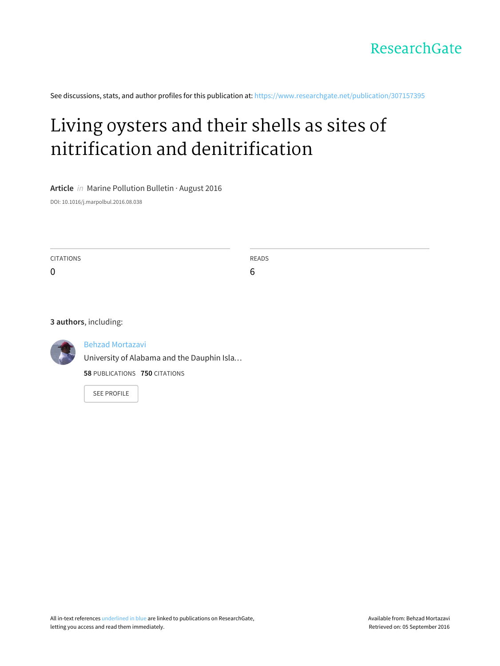

See discussions, stats, and author profiles for this publication at: [https://www.researchgate.net/publication/307157395](https://www.researchgate.net/publication/307157395_Living_oysters_and_their_shells_as_sites_of_nitrification_and_denitrification?enrichId=rgreq-afadec349ff322eded8cd39fdcbc6197-XXX&enrichSource=Y292ZXJQYWdlOzMwNzE1NzM5NTtBUzo0MDA1MzE1NzYxMTUyMDBAMTQ3MjUwNTU3NzAxNA%3D%3D&el=1_x_2)

# Living oysters and their shells as sites of nitrification and [denitrification](https://www.researchgate.net/publication/307157395_Living_oysters_and_their_shells_as_sites_of_nitrification_and_denitrification?enrichId=rgreq-afadec349ff322eded8cd39fdcbc6197-XXX&enrichSource=Y292ZXJQYWdlOzMwNzE1NzM5NTtBUzo0MDA1MzE1NzYxMTUyMDBAMTQ3MjUwNTU3NzAxNA%3D%3D&el=1_x_3)

**Article** in Marine Pollution Bulletin · August 2016

DOI: 10.1016/j.marpolbul.2016.08.038

| <b>CITATIONS</b><br>0 | READS<br>6 |
|-----------------------|------------|
|                       |            |
| 3 authors, including: |            |



Behzad [Mortazavi](https://www.researchgate.net/profile/Behzad_Mortazavi?enrichId=rgreq-afadec349ff322eded8cd39fdcbc6197-XXX&enrichSource=Y292ZXJQYWdlOzMwNzE1NzM5NTtBUzo0MDA1MzE1NzYxMTUyMDBAMTQ3MjUwNTU3NzAxNA%3D%3D&el=1_x_5)

University of Alabama and the Dauphin Isla…

**58** PUBLICATIONS **750** CITATIONS

SEE [PROFILE](https://www.researchgate.net/profile/Behzad_Mortazavi?enrichId=rgreq-afadec349ff322eded8cd39fdcbc6197-XXX&enrichSource=Y292ZXJQYWdlOzMwNzE1NzM5NTtBUzo0MDA1MzE1NzYxMTUyMDBAMTQ3MjUwNTU3NzAxNA%3D%3D&el=1_x_7)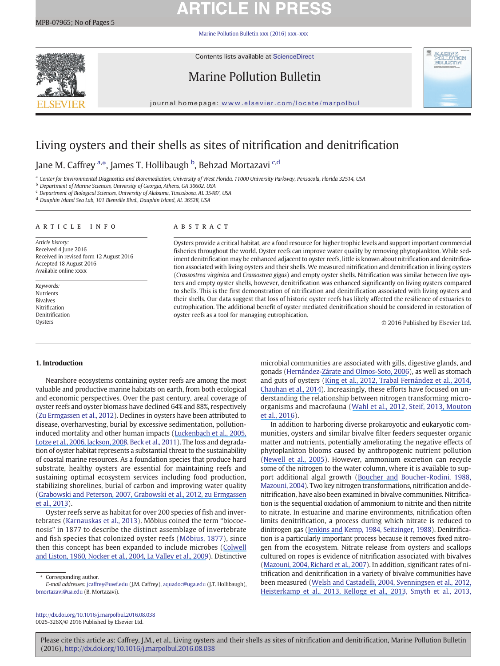## **ARTICLE IN PRESS**

[Marine Pollution Bulletin xxx \(2016\) xxx](http://dx.doi.org/10.1016/j.marpolbul.2016.08.038)–xxx



Contents lists available at ScienceDirect

## Marine Pollution Bulletin



journal homepage: <www.elsevier.com/locate/marpolbul>

## Living oysters and their shells as sites of nitrification and denitrification

Jane M. Caffrey <sup>a,</sup>\*, James T. Hollibaugh <sup>b</sup>, Behzad Mortazavi <sup>c,d</sup>

a Center for Environmental Diagnostics and Bioremediation, University of West Florida, 11000 University Parkway, Pensacola, Florida 32514, USA

**b** Department of Marine Sciences, University of Georgia, Athens, GA 30602, USA

<sup>c</sup> Department of Biological Sciences, University of Alabama, Tuscaloosa, AL 35487, USA

<sup>d</sup> Dauphin Island Sea Lab, 101 Bienville Blvd., Dauphin Island, AL 36528, USA

#### article info abstract

Article history: Received 4 June 2016 Received in revised form 12 August 2016 Accepted 18 August 2016 Available online xxxx

Keywords: Nutrients Bivalves Nitrification Denitrification Oysters

Oysters provide a critical habitat, are a food resource for higher trophic levels and support important commercial fisheries throughout the world. Oyster reefs can improve water quality by removing phytoplankton. While sediment denitrification may be enhanced adjacent to oyster reefs, little is known about nitrification and denitrification associated with living oysters and their shells. We measured nitrification and denitrification in living oysters (Crassostrea virginica and Crassostrea gigas) and empty oyster shells. Nitrification was similar between live oysters and empty oyster shells, however, denitrification was enhanced significantly on living oysters compared to shells. This is the first demonstration of nitrification and denitrification associated with living oysters and their shells. Our data suggest that loss of historic oyster reefs has likely affected the resilience of estuaries to eutrophication. The additional benefit of oyster mediated denitrification should be considered in restoration of oyster reefs as a tool for managing eutrophication.

© 2016 Published by Elsevier Ltd.

### 1. Introduction

Nearshore ecosystems containing oyster reefs are among the most valuable and productive marine habitats on earth, from both ecological and economic perspectives. Over the past century, areal coverage of oyster reefs and oyster biomass have declined 64% and 88%, respectively (Zu Ermgassen et al., 2012). Declines in oysters have been attributed to disease, overharvesting, burial by excessive sedimentation, pollutioninduced mortality and other human impacts ([Luckenbach et al., 2005](https://www.researchgate.net/publication/235335751_Oyster_reef_habitat_restoration_Relationships_between_oyster_abundance_and_community_development_based_on_two_studies_in_Virginia_and_South_Carolina?el=1_x_8&enrichId=rgreq-afadec349ff322eded8cd39fdcbc6197-XXX&enrichSource=Y292ZXJQYWdlOzMwNzE1NzM5NTtBUzo0MDA1MzE1NzYxMTUyMDBAMTQ3MjUwNTU3NzAxNA==)[,](https://www.researchgate.net/publication/6990605_Depletion_Degradation_and_Recovery_Potential_of_Estuaries_and_Coastal_Seas?el=1_x_8&enrichId=rgreq-afadec349ff322eded8cd39fdcbc6197-XXX&enrichSource=Y292ZXJQYWdlOzMwNzE1NzM5NTtBUzo0MDA1MzE1NzYxMTUyMDBAMTQ3MjUwNTU3NzAxNA==) [Lotze et al., 200](https://www.researchgate.net/publication/6990605_Depletion_Degradation_and_Recovery_Potential_of_Estuaries_and_Coastal_Seas?el=1_x_8&enrichId=rgreq-afadec349ff322eded8cd39fdcbc6197-XXX&enrichSource=Y292ZXJQYWdlOzMwNzE1NzM5NTtBUzo0MDA1MzE1NzYxMTUyMDBAMTQ3MjUwNTU3NzAxNA==)[6, Jackson, 2008](https://www.researchgate.net/publication/23163836_Ecological_extinction_and_evolution_in_the_brave_new_ocean?el=1_x_8&enrichId=rgreq-afadec349ff322eded8cd39fdcbc6197-XXX&enrichSource=Y292ZXJQYWdlOzMwNzE1NzM5NTtBUzo0MDA1MzE1NzYxMTUyMDBAMTQ3MjUwNTU3NzAxNA==), Beck et al., 2011). The loss and degradation of oyster habitat represents a substantial threat to the sustainability of coastal marine resources. As a foundation species that produce hard substrate, healthy oysters are essential for maintaining reefs and sustaining optimal ecosystem services including food production, stabilizing shorelines, burial of carbon and improving water quality ([Grabowski and Peterson, 2007](https://www.researchgate.net/publication/241071088_Restoring_oyster_reefs_to_recover_ecosystem_services?el=1_x_8&enrichId=rgreq-afadec349ff322eded8cd39fdcbc6197-XXX&enrichSource=Y292ZXJQYWdlOzMwNzE1NzM5NTtBUzo0MDA1MzE1NzYxMTUyMDBAMTQ3MjUwNTU3NzAxNA==)[, Grabowski et al., 2012](https://www.researchgate.net/publication/250615516_Economic_Valuation_of_Ecosystem_Services_Provided_by_Oyster_Reefs?el=1_x_8&enrichId=rgreq-afadec349ff322eded8cd39fdcbc6197-XXX&enrichSource=Y292ZXJQYWdlOzMwNzE1NzM5NTtBUzo0MDA1MzE1NzYxMTUyMDBAMTQ3MjUwNTU3NzAxNA==)[, zu Ermgassen](https://www.researchgate.net/publication/257776963_Quantifying_the_Loss_of_a_Marine_Ecosystem_Service_Filtration_by_the_Eastern_Oyster_in_US_Estuaries?el=1_x_8&enrichId=rgreq-afadec349ff322eded8cd39fdcbc6197-XXX&enrichSource=Y292ZXJQYWdlOzMwNzE1NzM5NTtBUzo0MDA1MzE1NzYxMTUyMDBAMTQ3MjUwNTU3NzAxNA==) [et al., 2013](https://www.researchgate.net/publication/257776963_Quantifying_the_Loss_of_a_Marine_Ecosystem_Service_Filtration_by_the_Eastern_Oyster_in_US_Estuaries?el=1_x_8&enrichId=rgreq-afadec349ff322eded8cd39fdcbc6197-XXX&enrichSource=Y292ZXJQYWdlOzMwNzE1NzM5NTtBUzo0MDA1MzE1NzYxMTUyMDBAMTQ3MjUwNTU3NzAxNA==)).

Oyster reefs serve as habitat for over 200 species of fish and invertebrates (Karnauskas et al., 2013). Möbius coined the term "biocoenosis" in 1877 to describe the distinct assemblage of invertebrate and fish species that colonized oyster reefs (Möbius, 1877), since then this concept has been expanded to include microbes ([Colwell](https://www.researchgate.net/publication/9756484_Microbiology_of_Shellfish_Bacteriological_study_of_the_natural_flora_of_Pacific_oysters_Crassostrea_gigas?el=1_x_8&enrichId=rgreq-afadec349ff322eded8cd39fdcbc6197-XXX&enrichSource=Y292ZXJQYWdlOzMwNzE1NzM5NTtBUzo0MDA1MzE1NzYxMTUyMDBAMTQ3MjUwNTU3NzAxNA==) [and Liston, 196](https://www.researchgate.net/publication/9756484_Microbiology_of_Shellfish_Bacteriological_study_of_the_natural_flora_of_Pacific_oysters_Crassostrea_gigas?el=1_x_8&enrichId=rgreq-afadec349ff322eded8cd39fdcbc6197-XXX&enrichSource=Y292ZXJQYWdlOzMwNzE1NzM5NTtBUzo0MDA1MzE1NzYxMTUyMDBAMTQ3MjUwNTU3NzAxNA==)[0, Nocker et al., 200](https://www.researchgate.net/publication/8191330_Influence_of_an_Oyster_Reef_on_Development_of_the_Microbial_Heterotrophic_Community_of_an_Estuarine_Biofilm?el=1_x_8&enrichId=rgreq-afadec349ff322eded8cd39fdcbc6197-XXX&enrichSource=Y292ZXJQYWdlOzMwNzE1NzM5NTtBUzo0MDA1MzE1NzYxMTUyMDBAMTQ3MjUwNTU3NzAxNA==)[4, La Valley et al., 2009](https://www.researchgate.net/publication/228671208_Bacterial_Community_Profiling_of_the_Eastern_Oyster_Crassostrea_virginica_Comparison_of_Culture-Dependent_and_Culture-Independent_Outcomes?el=1_x_8&enrichId=rgreq-afadec349ff322eded8cd39fdcbc6197-XXX&enrichSource=Y292ZXJQYWdlOzMwNzE1NzM5NTtBUzo0MDA1MzE1NzYxMTUyMDBAMTQ3MjUwNTU3NzAxNA==)). Distinctive

Corresponding author.

E-mail addresses: jcaffrey@uwf.edu (J.M. Caffrey), aquadoc@uga.edu (J.T. Hollibaugh), [bmortazavi@ua.edu](mailto:bmortazavi@ua.edu) (B. Mortazavi).

<http://dx.doi.org/10.1016/j.marpolbul.2016.08.038> 0025-326X/© 2016 Published by Elsevier Ltd.

microbial communities are associated with gills, digestive glands, and gonads (Hernández[-Zárate and Olmos-Soto, 2006](https://www.researchgate.net/publication/7224889_Identification_of_bacterial_diversity_in_the_oyster_Crassostrea_gigas_by_fluorescent_in_situ_hybridization_and_polymerase_chain_reaction?el=1_x_8&enrichId=rgreq-afadec349ff322eded8cd39fdcbc6197-XXX&enrichSource=Y292ZXJQYWdlOzMwNzE1NzM5NTtBUzo0MDA1MzE1NzYxMTUyMDBAMTQ3MjUwNTU3NzAxNA==)), as well as stomach and guts of oysters ([King et al., 2012](https://www.researchgate.net/publication/233950187_Analysis_of_Stomach_and_Gut_Microbiomes_of_the_Eastern_Oyster_Crassostrea_virginica_from_Coastal_Louisiana_USA?el=1_x_8&enrichId=rgreq-afadec349ff322eded8cd39fdcbc6197-XXX&enrichSource=Y292ZXJQYWdlOzMwNzE1NzM5NTtBUzo0MDA1MzE1NzYxMTUyMDBAMTQ3MjUwNTU3NzAxNA==)[, Trabal Fernández et al., 201](https://www.researchgate.net/publication/259268960_Changes_in_the_composition_and_diversity_of_the_bacterial_microbiota_associated_with_oysters_Crassostrea_corteziensis_Crassostrea_gigas_and_Crassostrea_sikamea_during_commercial_production?el=1_x_8&enrichId=rgreq-afadec349ff322eded8cd39fdcbc6197-XXX&enrichSource=Y292ZXJQYWdlOzMwNzE1NzM5NTtBUzo0MDA1MzE1NzYxMTUyMDBAMTQ3MjUwNTU3NzAxNA==)[4,](https://www.researchgate.net/publication/267734664_Metagenomic_Assessment_of_the_Eastern_Oyster-Associated_Microbiota?el=1_x_8&enrichId=rgreq-afadec349ff322eded8cd39fdcbc6197-XXX&enrichSource=Y292ZXJQYWdlOzMwNzE1NzM5NTtBUzo0MDA1MzE1NzYxMTUyMDBAMTQ3MjUwNTU3NzAxNA==) [Chauhan et al., 2014](https://www.researchgate.net/publication/267734664_Metagenomic_Assessment_of_the_Eastern_Oyster-Associated_Microbiota?el=1_x_8&enrichId=rgreq-afadec349ff322eded8cd39fdcbc6197-XXX&enrichSource=Y292ZXJQYWdlOzMwNzE1NzM5NTtBUzo0MDA1MzE1NzYxMTUyMDBAMTQ3MjUwNTU3NzAxNA==)). Increasingly, these efforts have focused on understanding the relationship between nitrogen transforming microorganisms and macrofauna ([Wahl et al., 2012](https://www.researchgate.net/publication/230769668_The_Second_Skin_Ecological_Role_of_Epibiotic_Biofilms_on_Marine_Organisms?el=1_x_8&enrichId=rgreq-afadec349ff322eded8cd39fdcbc6197-XXX&enrichSource=Y292ZXJQYWdlOzMwNzE1NzM5NTtBUzo0MDA1MzE1NzYxMTUyMDBAMTQ3MjUwNTU3NzAxNA==), Steif, 201[3, Mouton](https://www.researchgate.net/publication/301779821_Microbial_associations_with_macrobiota_in_coastal_ecosystems_Patterns_and_implications_for_nitrogen_cycling?el=1_x_8&enrichId=rgreq-afadec349ff322eded8cd39fdcbc6197-XXX&enrichSource=Y292ZXJQYWdlOzMwNzE1NzM5NTtBUzo0MDA1MzE1NzYxMTUyMDBAMTQ3MjUwNTU3NzAxNA==) [et al., 2016](https://www.researchgate.net/publication/301779821_Microbial_associations_with_macrobiota_in_coastal_ecosystems_Patterns_and_implications_for_nitrogen_cycling?el=1_x_8&enrichId=rgreq-afadec349ff322eded8cd39fdcbc6197-XXX&enrichSource=Y292ZXJQYWdlOzMwNzE1NzM5NTtBUzo0MDA1MzE1NzYxMTUyMDBAMTQ3MjUwNTU3NzAxNA==)).

In addition to harboring diverse prokaroyotic and eukaryotic communities, oysters and similar bivalve filter feeders sequester organic matter and nutrients, potentially ameliorating the negative effects of phytoplankton blooms caused by anthropogenic nutrient pollution ([Newell et al., 2005](https://www.researchgate.net/publication/226795594_Influence_of_Eastern_Oysters_on_Nitrogen_and_Phosphorus_Regeneration_in_Chesapeake_Bay_USA?el=1_x_8&enrichId=rgreq-afadec349ff322eded8cd39fdcbc6197-XXX&enrichSource=Y292ZXJQYWdlOzMwNzE1NzM5NTtBUzo0MDA1MzE1NzYxMTUyMDBAMTQ3MjUwNTU3NzAxNA==)). However, ammonium excretion can recycle some of the nitrogen to the water column, where it is available to support additional algal growth ([Boucher and](https://www.researchgate.net/publication/250214496_In_situ_measurement_of_respiratory_metabolism_and_nitrogen_fluxes_at_the_interface_of_oyster_beds?el=1_x_8&enrichId=rgreq-afadec349ff322eded8cd39fdcbc6197-XXX&enrichSource=Y292ZXJQYWdlOzMwNzE1NzM5NTtBUzo0MDA1MzE1NzYxMTUyMDBAMTQ3MjUwNTU3NzAxNA==) Boucher-Rodini, 1988, Mazouni, 2004). Two key nitrogen transformations, nitrification and denitrification, have also been examined in bivalve communities. Nitrification is the sequential oxidation of ammonium to nitrite and then nitrite to nitrate. In estuarine and marine environments, nitrification often limits denitrification, a process during which nitrate is reduced to dinitrogen gas [\(Jenkins and](https://www.researchgate.net/publication/250391605_The_Coupling_of_Nitrification_and_Denitrification_in_Two_Estuarine_Sediments?el=1_x_8&enrichId=rgreq-afadec349ff322eded8cd39fdcbc6197-XXX&enrichSource=Y292ZXJQYWdlOzMwNzE1NzM5NTtBUzo0MDA1MzE1NzYxMTUyMDBAMTQ3MjUwNTU3NzAxNA==) Kemp, 1984, Seitzinger, 1988). Denitrification is a particularly important process because it removes fixed nitrogen from the ecosystem. Nitrate release from oysters and scallops cultured on ropes is evidence of nitrification associated with bivalves ([Mazouni, 200](https://www.researchgate.net/publication/250217708_Influence_of_suspended_oyster_cultures_on_nitrogen_regeneration_in_a_coastal_lagoon_Thau_France?el=1_x_8&enrichId=rgreq-afadec349ff322eded8cd39fdcbc6197-XXX&enrichSource=Y292ZXJQYWdlOzMwNzE1NzM5NTtBUzo0MDA1MzE1NzYxMTUyMDBAMTQ3MjUwNTU3NzAxNA==)[4, Richard et al., 2007](https://www.researchgate.net/publication/224188350_16-_Influence_of_suspended_scallop_cages_and_mussel_lines_on_pelagic_and_benthic_biogeochemical_fluxes_in_Havre-aux-Maisons_Lagoon_Iles-de-la-Madeleine_Quebec_Canada?el=1_x_8&enrichId=rgreq-afadec349ff322eded8cd39fdcbc6197-XXX&enrichSource=Y292ZXJQYWdlOzMwNzE1NzM5NTtBUzo0MDA1MzE1NzYxMTUyMDBAMTQ3MjUwNTU3NzAxNA==)). In addition, significant rates of nitrification and denitrification in a variety of bivalve communities have been measured ([Welsh and Castadelli, 2004](https://www.researchgate.net/publication/225711281_Bacterial_nitrification_activity_directly_associated_with_isolated_benthic_marine_animals?el=1_x_8&enrichId=rgreq-afadec349ff322eded8cd39fdcbc6197-XXX&enrichSource=Y292ZXJQYWdlOzMwNzE1NzM5NTtBUzo0MDA1MzE1NzYxMTUyMDBAMTQ3MjUwNTU3NzAxNA==)[, Svenningsen et al., 2012](https://www.researchgate.net/publication/223973876_Shell_Biofilm_Nitrification_and_Gut_Denitrification_Contribute_to_Emission_of_Nitrous_Oxide_by_the_Invasive_Freshwater_Mussel_Dreissena_polymorpha_Zebra_Mussel?el=1_x_8&enrichId=rgreq-afadec349ff322eded8cd39fdcbc6197-XXX&enrichSource=Y292ZXJQYWdlOzMwNzE1NzM5NTtBUzo0MDA1MzE1NzYxMTUyMDBAMTQ3MjUwNTU3NzAxNA==)[,](https://www.researchgate.net/publication/230566713_Shell_biofilm-associated_nitrous_oxide_production_in_marine_molluscs_Processes_precursors_and_relative_importance?el=1_x_8&enrichId=rgreq-afadec349ff322eded8cd39fdcbc6197-XXX&enrichSource=Y292ZXJQYWdlOzMwNzE1NzM5NTtBUzo0MDA1MzE1NzYxMTUyMDBAMTQ3MjUwNTU3NzAxNA==) [Heisterkamp et al., 201](https://www.researchgate.net/publication/230566713_Shell_biofilm-associated_nitrous_oxide_production_in_marine_molluscs_Processes_precursors_and_relative_importance?el=1_x_8&enrichId=rgreq-afadec349ff322eded8cd39fdcbc6197-XXX&enrichSource=Y292ZXJQYWdlOzMwNzE1NzM5NTtBUzo0MDA1MzE1NzYxMTUyMDBAMTQ3MjUwNTU3NzAxNA==)[3, Kellogg et al., 2013](https://www.researchgate.net/publication/261402272_Denitrification_and_nutrient_assimilation_on_a_restored_oyster_reef?el=1_x_8&enrichId=rgreq-afadec349ff322eded8cd39fdcbc6197-XXX&enrichSource=Y292ZXJQYWdlOzMwNzE1NzM5NTtBUzo0MDA1MzE1NzYxMTUyMDBAMTQ3MjUwNTU3NzAxNA==), Smyth et al., 2013,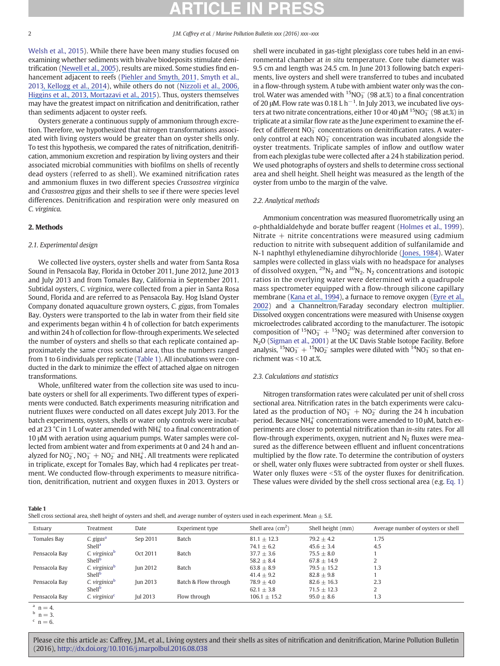Welsh et al., 2015). While there have been many studies focused on examining whether sediments with bivalve biodeposits stimulate denitrification ([Newell et al., 2005](https://www.researchgate.net/publication/226795594_Influence_of_Eastern_Oysters_on_Nitrogen_and_Phosphorus_Regeneration_in_Chesapeake_Bay_USA?el=1_x_8&enrichId=rgreq-afadec349ff322eded8cd39fdcbc6197-XXX&enrichSource=Y292ZXJQYWdlOzMwNzE1NzM5NTtBUzo0MDA1MzE1NzYxMTUyMDBAMTQ3MjUwNTU3NzAxNA==)), results are mixed. Some studies find enhancement adjacent to reefs [\(Piehler and Smyth, 2011](https://www.researchgate.net/publication/236012127_Habitat-Specific_Distinctions_in_Estuarine_Denitrification_Affect_Both_Ecosystem_Function_and_Services?el=1_x_8&enrichId=rgreq-afadec349ff322eded8cd39fdcbc6197-XXX&enrichSource=Y292ZXJQYWdlOzMwNzE1NzM5NTtBUzo0MDA1MzE1NzYxMTUyMDBAMTQ3MjUwNTU3NzAxNA==), Smyth et al., 201[3, Kellogg et al., 2014](https://www.researchgate.net/publication/266677784_Use_of_oysters_to_mitigate_eutrophication_in_coastal_waters?el=1_x_8&enrichId=rgreq-afadec349ff322eded8cd39fdcbc6197-XXX&enrichSource=Y292ZXJQYWdlOzMwNzE1NzM5NTtBUzo0MDA1MzE1NzYxMTUyMDBAMTQ3MjUwNTU3NzAxNA==)), while others do not [\(Nizzoli et al., 2006](https://www.researchgate.net/publication/29463194_Impact_of_clam_and_mussel_farming_on_benthic_metabolism_and_nitrogen_cycling_with_emphasis_on_nitrate_reduction_pathways?el=1_x_8&enrichId=rgreq-afadec349ff322eded8cd39fdcbc6197-XXX&enrichSource=Y292ZXJQYWdlOzMwNzE1NzM5NTtBUzo0MDA1MzE1NzYxMTUyMDBAMTQ3MjUwNTU3NzAxNA==)[,](https://www.researchgate.net/publication/274001979_Effect_of_aquacultured_oyster_biodeposition_on_sediment_N-2_production_in_Chesapeake_Bay?el=1_x_8&enrichId=rgreq-afadec349ff322eded8cd39fdcbc6197-XXX&enrichSource=Y292ZXJQYWdlOzMwNzE1NzM5NTtBUzo0MDA1MzE1NzYxMTUyMDBAMTQ3MjUwNTU3NzAxNA==) [Higgins et al., 201](https://www.researchgate.net/publication/274001979_Effect_of_aquacultured_oyster_biodeposition_on_sediment_N-2_production_in_Chesapeake_Bay?el=1_x_8&enrichId=rgreq-afadec349ff322eded8cd39fdcbc6197-XXX&enrichSource=Y292ZXJQYWdlOzMwNzE1NzM5NTtBUzo0MDA1MzE1NzYxMTUyMDBAMTQ3MjUwNTU3NzAxNA==)[3, Mortazavi et al., 2015](https://www.researchgate.net/publication/280603128_Evaluating_the_impact_of_oyster_Crassostrea_virginica_gardening_on_sediment_nitrogen_cycling_in_a_subtropical_estuary?el=1_x_8&enrichId=rgreq-afadec349ff322eded8cd39fdcbc6197-XXX&enrichSource=Y292ZXJQYWdlOzMwNzE1NzM5NTtBUzo0MDA1MzE1NzYxMTUyMDBAMTQ3MjUwNTU3NzAxNA==)). Thus, oysters themselves may have the greatest impact on nitrification and denitrification, rather than sediments adjacent to oyster reefs.

Oysters generate a continuous supply of ammonium through excretion. Therefore, we hypothesized that nitrogen transformations associated with living oysters would be greater than on oyster shells only. To test this hypothesis, we compared the rates of nitrification, denitrification, ammonium excretion and respiration by living oysters and their associated microbial communities with biofilms on shells of recently dead oysters (referred to as shell). We examined nitrification rates and ammonium fluxes in two different species Crassostrea virginica and Crassostrea gigas and their shells to see if there were species level differences. Denitrification and respiration were only measured on C. virginica.

### 2. Methods

### 2.1. Experimental design

We collected live oysters, oyster shells and water from Santa Rosa Sound in Pensacola Bay, Florida in October 2011, June 2012, June 2013 and July 2013 and from Tomales Bay, California in September 2011. Subtidal oysters, C. virginica, were collected from a pier in Santa Rosa Sound, Florida and are referred to as Pensacola Bay. Hog Island Oyster Company donated aquaculture grown oysters, C. gigas, from Tomales Bay. Oysters were transported to the lab in water from their field site and experiments began within 4 h of collection for batch experiments and within 24 h of collection for flow-through experiments. We selected the number of oysters and shells so that each replicate contained approximately the same cross sectional area, thus the numbers ranged from 1 to 6 individuals per replicate (Table 1). All incubations were conducted in the dark to minimize the effect of attached algae on nitrogen transformations.

Whole, unfiltered water from the collection site was used to incubate oysters or shell for all experiments. Two different types of experiments were conducted. Batch experiments measuring nitrification and nutrient fluxes were conducted on all dates except July 2013. For the batch experiments, oysters, shells or water only controls were incubated at 23  $^{\circ}$ C in 1 L of water amended with NH $^{+}_{4}$  to a final concentration of 10 μM with aeration using aquarium pumps. Water samples were collected from ambient water and from experiments at 0 and 24 h and analyzed for  $NO_2^-$ ,  $NO_3^- + NO_2^-$  and  $NH_4^+$ . All treatments were replicated in triplicate, except for Tomales Bay, which had 4 replicates per treatment. We conducted flow-through experiments to measure nitrification, denitrification, nutrient and oxygen fluxes in 2013. Oysters or shell were incubated in gas-tight plexiglass core tubes held in an environmental chamber at in situ temperature. Core tube diameter was 9.5 cm and length was 24.5 cm. In June 2013 following batch experiments, live oysters and shell were transferred to tubes and incubated in a flow-through system. A tube with ambient water only was the control. Water was amended with  ${}^{15}NO_3^-$  (98 at.%) to a final concentration of 20 μM. Flow rate was 0.18 L  $h^{-1}$ . In July 2013, we incubated live oysters at two nitrate concentrations, either 10 or 40  $\mu$ M  $^{15}$ NO<sub>3</sub> (98 at.%) in triplicate at a similar flow rate as the June experiment to examine the effect of different  $NO_3^-$  concentrations on denitrification rates. A wateronly control at each  $NO_3^-$  concentration was incubated alongside the oyster treatments. Triplicate samples of inflow and outflow water from each plexiglas tube were collected after a 24 h stabilization period. We used photographs of oysters and shells to determine cross sectional area and shell height. Shell height was measured as the length of the oyster from umbo to the margin of the valve.

#### 2.2. Analytical methods

Ammonium concentration was measured fluorometrically using an o-phthaldialdehyde and borate buffer reagent (Holmes et al., 1999). Nitrate  $+$  nitrite concentrations were measured using cadmium reduction to nitrite with subsequent addition of sulfanilamide and N-1 naphthyl ethylenediamine dihyrochloride [\(Jones, 1984](https://www.researchgate.net/publication/223050765_Nitrate_reduction_by_shaking_with_cadmiumAlternative_to_cadmium_columns?el=1_x_8&enrichId=rgreq-afadec349ff322eded8cd39fdcbc6197-XXX&enrichSource=Y292ZXJQYWdlOzMwNzE1NzM5NTtBUzo0MDA1MzE1NzYxMTUyMDBAMTQ3MjUwNTU3NzAxNA==)). Water samples were collected in glass vials with no headspace for analyses of dissolved oxygen,  ${}^{29}N_2$  and  ${}^{30}N_2$ . N<sub>2</sub> concentrations and isotopic ratios in the overlying water were determined with a quadrupole mass spectrometer equipped with a flow-through silicone capillary membrane ([Kana et al., 1994](https://www.researchgate.net/publication/280640851_Membrane_inlet_mass_spectrometer_for_rapid_high-precision_determination_of_N2_O2_and_Ar_in_environmental_water_samples?el=1_x_8&enrichId=rgreq-afadec349ff322eded8cd39fdcbc6197-XXX&enrichSource=Y292ZXJQYWdlOzMwNzE1NzM5NTtBUzo0MDA1MzE1NzYxMTUyMDBAMTQ3MjUwNTU3NzAxNA==)), a furnace to remove oxygen ([Eyre et al.,](https://www.researchgate.net/publication/225178656_Comparison_of_isotope_pairing_and_N2Ar_methods_for_measuring_sediment_denitrification-Assumption_modifications_and_implications?el=1_x_8&enrichId=rgreq-afadec349ff322eded8cd39fdcbc6197-XXX&enrichSource=Y292ZXJQYWdlOzMwNzE1NzM5NTtBUzo0MDA1MzE1NzYxMTUyMDBAMTQ3MjUwNTU3NzAxNA==) [2002](https://www.researchgate.net/publication/225178656_Comparison_of_isotope_pairing_and_N2Ar_methods_for_measuring_sediment_denitrification-Assumption_modifications_and_implications?el=1_x_8&enrichId=rgreq-afadec349ff322eded8cd39fdcbc6197-XXX&enrichSource=Y292ZXJQYWdlOzMwNzE1NzM5NTtBUzo0MDA1MzE1NzYxMTUyMDBAMTQ3MjUwNTU3NzAxNA==)) and a Channeltron/Faraday secondary electron multiplier. Dissolved oxygen concentrations were measured with Unisense oxygen microelectrodes calibrated according to the manufacturer. The isotopic composition of  ${}^{15}NO_3^-$  +  ${}^{15}NO_2^-$  was determined after conversion to N2O (Sigman et al., 2001) at the UC Davis Stable Isotope Facility. Before analysis,  ${}^{15}NO_3^- + {}^{15}NO_2^-$  samples were diluted with  ${}^{14}NO_3^-$  so that enrichment was  $<$  10 at.%.

#### 2.3. Calculations and statistics

Nitrogen transformation rates were calculated per unit of shell cross sectional area. Nitrification rates in the batch experiments were calculated as the production of  $NO<sub>3</sub><sup>-</sup> + NO<sub>2</sub><sup>-</sup>$  during the 24 h incubation period. Because NH $_4^+$  concentrations were amended to 10  $\mu$ M, batch experiments are closer to potential nitrification than in-situ rates. For all flow-through experiments, oxygen, nutrient and  $N<sub>2</sub>$  fluxes were measured as the difference between effluent and influent concentrations multiplied by the flow rate. To determine the contribution of oysters or shell, water only fluxes were subtracted from oyster or shell fluxes. Water only fluxes were  $<5\%$  of the oyster fluxes for denitrification. These values were divided by the shell cross sectional area (e.g. Eq. 1)

Table 1

|  |  |  | Shell cross sectional area, shell height of oysters and shell, and average number of oysters used in each experiment. Mean $\pm$ S.E. |
|--|--|--|---------------------------------------------------------------------------------------------------------------------------------------|
|--|--|--|---------------------------------------------------------------------------------------------------------------------------------------|

| Estuary       | Treatment                 | Date            | Experiment type      | Shell area $\rm (cm^2)$ | Shell height (mm) | Average number of oysters or shell |
|---------------|---------------------------|-----------------|----------------------|-------------------------|-------------------|------------------------------------|
| Tomales Bay   | C. gigas <sup>a</sup>     | Sep 2011        | Batch                | $81.1 + 12.3$           | $79.2 + 4.2$      | 1.75                               |
|               | Shell <sup>a</sup>        |                 |                      | $74.1 \pm 6.2$          | $45.6 \pm 3.4$    | 4.5                                |
| Pensacola Bay | C. virginica <sup>b</sup> | Oct 2011        | Batch                | $37.7 + 3.6$            | $75.5 + 8.0$      |                                    |
|               | Shell <sup>b</sup>        |                 |                      | $58.2 + 8.4$            | $67.8 + 14.9$     |                                    |
| Pensacola Bay | C. virginica <sup>b</sup> | <b>Iun 2012</b> | Batch                | $63.8 + 8.9$            | $79.5 + 15.2$     | 1.3                                |
|               | Shell <sup>b</sup>        |                 |                      | $41.4 \pm 9.2$          | $82.8 \pm 9.8$    |                                    |
| Pensacola Bay | C. virginicab             | <b>Iun 2013</b> | Batch & Flow through | $78.9 + 4.0$            | $82.6 + 16.3$     | 2.3                                |
|               | Shell <sup>b</sup>        |                 |                      | $62.1 \pm 3.8$          | $71.5 + 12.3$     |                                    |
| Pensacola Bay | C. virginica <sup>c</sup> | Jul 2013        | Flow through         | $106.1 \pm 15.2$        | $95.0 \pm 8.6$    | 1.3                                |

 $n = 4$ 

 $<sup>b</sup>$  n = 3.</sup>

 $c \neq n = 6$ .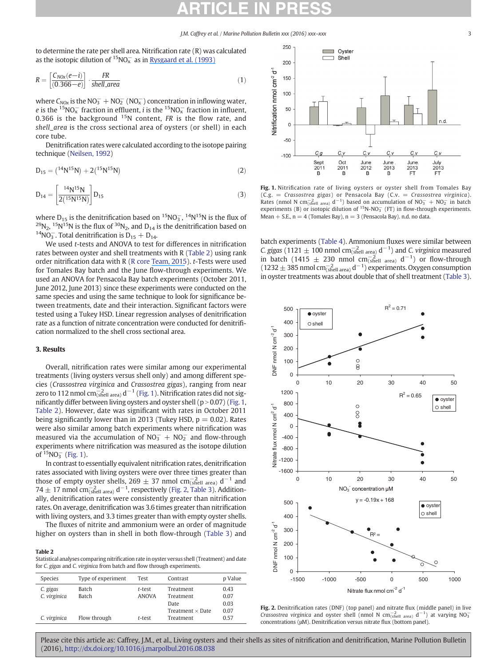J.M. Caffrey et al. / Marine Pollution Bulletin xxx (2016) xxx–xxx 3

to determine the rate per shell area. Nitrification rate (R) was calculated as the isotopic dilution of  $^{15}$ NO $_{x}^{-}$  as in [Rysgaard et al. \(1993\)](https://www.researchgate.net/publication/7421003_Nitrification_and_Denitrification_in_Lake_and_Estuarine_Sediments_Measured_by_the_15N_Dilution_Technique_and_Isotope_Pairing?el=1_x_8&enrichId=rgreq-afadec349ff322eded8cd39fdcbc6197-XXX&enrichSource=Y292ZXJQYWdlOzMwNzE1NzM5NTtBUzo0MDA1MzE1NzYxMTUyMDBAMTQ3MjUwNTU3NzAxNA==)

$$
R = \left[\frac{C_{NOX}(e-i)}{(0.366-e)}\right] \cdot \frac{FR}{shell\ area}
$$
 (1)

where  $C_{NOX}$  is the NO<sub>3</sub><sup>-</sup> + NO<sub>2</sub><sup>-</sup> (NO<sub>x</sub><sup>-</sup>) concentration in inflowing water, e is the  $^{15}$ NO $_{\rm x}^{-}$  fraction in effluent, i is the  $^{15}$ NO $_{\rm x}^{-}$  fraction in influent, 0.366 is the background  $15N$  content, FR is the flow rate, and shell\_area is the cross sectional area of oysters (or shell) in each core tube.

Denitrification rates were calculated according to the isotope pairing technique (Neilsen, 1992)

$$
D_{15} = (1^4 N^{15} N) + 2(1^5 N^{15} N)
$$
 (2)

$$
D_{14} = \left[\frac{^{14}N^{15}N}{2(^{15}N^{15}N)}\right]D_{15}
$$
 (3)

where  $D_{15}$  is the denitrification based on <sup>15</sup>NO<sub>3</sub>, <sup>14</sup>N<sup>15</sup>N is the flux of <sup>29</sup>N<sub>2</sub>, <sup>15</sup>N<sup>15</sup>N is the flux of <sup>30</sup>N<sub>2</sub>, and D<sub>14</sub> is the denitrification based on <sup>14</sup>NO<sub>3</sub><sup>-</sup>. Total denitrification is D<sub>15</sub> + D<sub>14</sub>.  $14NO_3^-$ . Total denitrification is  $D_{15} + D_{14}$ .

We used *t*-tests and ANOVA to test for differences in nitrification rates between oyster and shell treatments with R (Table 2) using rank order nitrification data with R (R core [Team, 2015](https://www.researchgate.net/publication/274015857_Team_RDCR_A_Language_And_Environment_For_Statistical_Computing_R_Foundation_for_Statistical_Computing_Vienna_Austria?el=1_x_8&enrichId=rgreq-afadec349ff322eded8cd39fdcbc6197-XXX&enrichSource=Y292ZXJQYWdlOzMwNzE1NzM5NTtBUzo0MDA1MzE1NzYxMTUyMDBAMTQ3MjUwNTU3NzAxNA==)). t-Tests were used for Tomales Bay batch and the June flow-through experiments. We used an ANOVA for Pensacola Bay batch experiments (October 2011, June 2012, June 2013) since these experiments were conducted on the same species and using the same technique to look for significance between treatments, date and their interaction. Significant factors were tested using a Tukey HSD. Linear regression analyses of denitrification rate as a function of nitrate concentration were conducted for denitrification normalized to the shell cross sectional area.

### 3. Results

Overall, nitrification rates were similar among our experimental treatments (living oysters versus shell only) and among different species (Crassostrea virginica and Crassostrea gigas), ranging from near zero to 112 nmol cm $_{\rm (shell~area)}^{-2}$  d $^{-1}$  (Fig. 1). Nitrification rates did not significantly differ between living oysters and oyster shell ( $p > 0.07$ ) (Fig. 1, Table 2). However, date was significant with rates in October 2011 being significantly lower than in 2013 (Tukey HSD,  $p = 0.02$ ). Rates were also similar among batch experiments where nitrification was measured via the accumulation of  $NO<sub>3</sub><sup>-</sup> + NO<sub>2</sub><sup>-</sup>$  and flow-through experiments where nitrification was measured as the isotope dilution of  ${}^{15}NO_3^-$  (Fig. 1).

In contrast to essentially equivalent nitrification rates, denitrification rates associated with living oysters were over three times greater than those of empty oyster shells, 269  $\pm$  37 nmol cm $_{\rm (shell~area)}^{-2}$  d<sup>-1</sup> and  $74 \pm 17$  nmol cm $_{\text{(shell area)}}^{-2}$  d<sup>-1</sup>, respectively (Fig. 2, Table 3). Additionally, denitrification rates were consistently greater than nitrification rates. On average, denitrification was 3.6 times greater than nitrification with living oysters, and 3.3 times greater than with empty oyster shells.

The fluxes of nitrite and ammonium were an order of magnitude higher on oysters than in shell in both flow-through (Table 3) and

#### Table 2

Statistical analyses comparing nitrification rate in oyster versus shell (Treatment) and date for C. gigas and C. virginica from batch and flow through experiments.

| Species                  | Type of experiment    | Test                   | Contrast                | p Value      |
|--------------------------|-----------------------|------------------------|-------------------------|--------------|
| C. gigas<br>C. virginica | Batch<br><b>Batch</b> | t-test<br><b>ANOVA</b> | Treatment<br>Treatment  | 0.43<br>0.07 |
|                          |                       |                        | Date                    | 0.03         |
|                          |                       |                        | Treatment $\times$ Date | 0.07         |
| C. virginica             | Flow through          | t-test                 | Treatment               | 0.57         |



Fig. 1. Nitrification rate of living oysters or oyster shell from Tomales Bay  $(C.g. = Crasostream gigas)$  or Pensacola Bay  $(C.v. = Crasostreamiginica)$ . Rates (nmol N cm<sup>-2</sup><sub>(shell area)</sub> d<sup>-1</sup>) based on accumulation of NO<sub>3</sub> + NO<sub>2</sub> in batch experiments (B) or isotopic dilution of  ${}^{15}N-NO_3^-$  (FT) in flow-through experiments. Mean  $+$  S.E.,  $n = 4$  (Tomales Bay),  $n = 3$  (Pensacola Bay). n.d. no data.

batch experiments (Table 4). Ammonium fluxes were similar between *C. gigas* (1121  $\pm$  100 nmol cm<sup>-2</sup><sub>(shell area)</sub> d<sup>-1</sup>) and *C. virginica* measured in batch (1415  $\pm$  230 nmol cm $^{-2}_{\text{(shell area)}}$  d<sup>-1</sup>) or flow-through (1232  $\pm$  385 nmol cm $_{\text{(shell area)}}^{-2}$  d<sup>-1</sup>) experiments. Oxygen consumption in oyster treatments was about double that of shell treatment (Table 3).



Fig. 2. Denitrification rates (DNF) (top panel) and nitrate flux (middle panel) in live *Crassostrea virginica* and oyster shell (nmol N cm<sup>-2</sup><sub>Ghell area)</sub>  $d^{-1}$ ) at varying NO<sub>3</sub> concentrations (μM). Denitrification versus nitrate flux (bottom panel).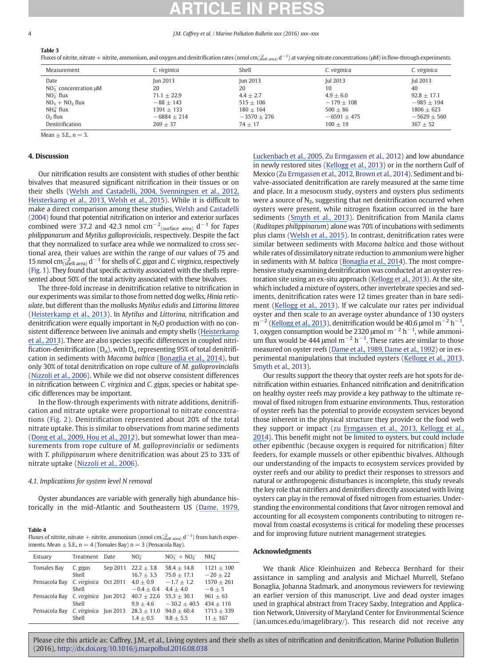#### 4 J.M. Caffrey et al. / Marine Pollution Bulletin xxx (2016) xxx–xxx

Table 3

Fluxes of nitrite, nitrate + nitrite, ammonium, and oxygen and denitrification rates (nmol cm $^{-2}_{\rm stable\ area}$ ) d<sup>-1</sup>) at varying nitrate concentrations (µM) in flow-through experiments.

| Measurement                                                                                                      | C. virginica                                                                           | Shell                                                                        | C. virginica                                                                 | C. virginica                                                                   |
|------------------------------------------------------------------------------------------------------------------|----------------------------------------------------------------------------------------|------------------------------------------------------------------------------|------------------------------------------------------------------------------|--------------------------------------------------------------------------------|
| Date<br>$NO_3^-$ concentration $\mu$ M<br>$NO2$ flux<br>$NO3 + NO2 flux$<br>$NH_4^+$ flux<br>O <sub>2</sub> flux | <b>Iun 2013</b><br>20<br>$71.1 + 22.9$<br>$-88 + 143$<br>$1391 + 133$<br>$-6884 + 214$ | Jun 2013<br>20<br>$4.4 + 2.7$<br>$515 + 106$<br>$180 + 164$<br>$-3570 + 276$ | Jul 2013<br>10<br>$4.9 + 6.0$<br>$-179 + 108$<br>$500 + 86$<br>$-6591 + 475$ | Jul 2013<br>40<br>$92.8 + 17.1$<br>$-985 + 194$<br>$1806 + 623$<br>$-5629+560$ |
| Denitrification                                                                                                  | $269 + 37$                                                                             | $74 + 17$                                                                    | $100 + 19$                                                                   | $367 + 52$                                                                     |

Mean  $\pm$  S.E., n = 3.

### 4. Discussion

Our nitrification results are consistent with studies of other benthic bivalves that measured significant nitrification in their tissues or on their shells ([Welsh and Castadelli, 2004](https://www.researchgate.net/publication/225711281_Bacterial_nitrification_activity_directly_associated_with_isolated_benthic_marine_animals?el=1_x_8&enrichId=rgreq-afadec349ff322eded8cd39fdcbc6197-XXX&enrichSource=Y292ZXJQYWdlOzMwNzE1NzM5NTtBUzo0MDA1MzE1NzYxMTUyMDBAMTQ3MjUwNTU3NzAxNA==)[, Svenningsen et al., 2012](https://www.researchgate.net/publication/223973876_Shell_Biofilm_Nitrification_and_Gut_Denitrification_Contribute_to_Emission_of_Nitrous_Oxide_by_the_Invasive_Freshwater_Mussel_Dreissena_polymorpha_Zebra_Mussel?el=1_x_8&enrichId=rgreq-afadec349ff322eded8cd39fdcbc6197-XXX&enrichSource=Y292ZXJQYWdlOzMwNzE1NzM5NTtBUzo0MDA1MzE1NzYxMTUyMDBAMTQ3MjUwNTU3NzAxNA==)[,](https://www.researchgate.net/publication/230566713_Shell_biofilm-associated_nitrous_oxide_production_in_marine_molluscs_Processes_precursors_and_relative_importance?el=1_x_8&enrichId=rgreq-afadec349ff322eded8cd39fdcbc6197-XXX&enrichSource=Y292ZXJQYWdlOzMwNzE1NzM5NTtBUzo0MDA1MzE1NzYxMTUyMDBAMTQ3MjUwNTU3NzAxNA==) [Heisterkamp et al., 201](https://www.researchgate.net/publication/230566713_Shell_biofilm-associated_nitrous_oxide_production_in_marine_molluscs_Processes_precursors_and_relative_importance?el=1_x_8&enrichId=rgreq-afadec349ff322eded8cd39fdcbc6197-XXX&enrichSource=Y292ZXJQYWdlOzMwNzE1NzM5NTtBUzo0MDA1MzE1NzYxMTUyMDBAMTQ3MjUwNTU3NzAxNA==)[3, Welsh et al., 2015](https://www.researchgate.net/publication/271274408_Direct_contribution_of_clams_Ruditapes_philippinarum_to_benthic_fluxes_nitrification_denitrification_and_nitrous_oxide_emission_in_a_farmed_sediment?el=1_x_8&enrichId=rgreq-afadec349ff322eded8cd39fdcbc6197-XXX&enrichSource=Y292ZXJQYWdlOzMwNzE1NzM5NTtBUzo0MDA1MzE1NzYxMTUyMDBAMTQ3MjUwNTU3NzAxNA==)). While it is difficult to make a direct comparison among these studies, Welsh and Castadelli (2004) found that potential nitrification on interior and exterior surfaces combined were 37.2 and 42.3 nmol  $\text{cm}^{-2}$ <sub>(surface area)</sub> d<sup>-1</sup> for *Tapes* philippanarum and Mytilus galloprovicialis, respectively. Despite the fact that they normalized to surface area while we normalized to cross sectional area, their values are within the range of our values of 75 and 15 nmol cm $_{\text{(shell area)}}^{-2}$  d<sup>-1</sup> for shells of C. gigas and C. virginica, respectively (Fig. 1). They found that specific activity associated with the shells represented about 50% of the total activity associated with these bivalves.

The three-fold increase in denitrification relative to nitrification in our experiments was similar to those from netted dog welks, Hinia reticulate, but different than the mollusks Mytilus edulis and Littorina littorea ([Heisterkamp et al., 2013](https://www.researchgate.net/publication/230566713_Shell_biofilm-associated_nitrous_oxide_production_in_marine_molluscs_Processes_precursors_and_relative_importance?el=1_x_8&enrichId=rgreq-afadec349ff322eded8cd39fdcbc6197-XXX&enrichSource=Y292ZXJQYWdlOzMwNzE1NzM5NTtBUzo0MDA1MzE1NzYxMTUyMDBAMTQ3MjUwNTU3NzAxNA==)). In Mytilus and Littorina, nitrification and denitrification were equally important in  $N<sub>2</sub>O$  production with no consistent difference between live animals and empty shells ([Heisterkamp](https://www.researchgate.net/publication/230566713_Shell_biofilm-associated_nitrous_oxide_production_in_marine_molluscs_Processes_precursors_and_relative_importance?el=1_x_8&enrichId=rgreq-afadec349ff322eded8cd39fdcbc6197-XXX&enrichSource=Y292ZXJQYWdlOzMwNzE1NzM5NTtBUzo0MDA1MzE1NzYxMTUyMDBAMTQ3MjUwNTU3NzAxNA==) [et al., 2013](https://www.researchgate.net/publication/230566713_Shell_biofilm-associated_nitrous_oxide_production_in_marine_molluscs_Processes_precursors_and_relative_importance?el=1_x_8&enrichId=rgreq-afadec349ff322eded8cd39fdcbc6197-XXX&enrichSource=Y292ZXJQYWdlOzMwNzE1NzM5NTtBUzo0MDA1MzE1NzYxMTUyMDBAMTQ3MjUwNTU3NzAxNA==)). There are also species specific differences in coupled nitrification-denitrification ( $D_n$ ), with  $D_n$  representing 95% of total denitrification in sediments with Macoma baltica ([Bonaglia et al., 2014](https://www.researchgate.net/publication/266956531_Meiofauna_increases_bacterial_denitrification_in_marine_sediments?el=1_x_8&enrichId=rgreq-afadec349ff322eded8cd39fdcbc6197-XXX&enrichSource=Y292ZXJQYWdlOzMwNzE1NzM5NTtBUzo0MDA1MzE1NzYxMTUyMDBAMTQ3MjUwNTU3NzAxNA==)), but only 30% of total denitrification on rope culture of M. galloprovincialis [\(Nizzoli et al., 2006](https://www.researchgate.net/publication/29463194_Impact_of_clam_and_mussel_farming_on_benthic_metabolism_and_nitrogen_cycling_with_emphasis_on_nitrate_reduction_pathways?el=1_x_8&enrichId=rgreq-afadec349ff322eded8cd39fdcbc6197-XXX&enrichSource=Y292ZXJQYWdlOzMwNzE1NzM5NTtBUzo0MDA1MzE1NzYxMTUyMDBAMTQ3MjUwNTU3NzAxNA==)). While we did not observe consistent differences in nitrification between C. virginica and C. gigas, species or habitat specific differences may be important.

In the flow-through experiments with nitrate additions, denitrification and nitrate uptake were proportional to nitrate concentrations (Fig. 2). Denitrification represented about 20% of the total nitrate uptake. This is similar to observations from marine sediments ([Dong et al., 2009](https://www.researchgate.net/publication/24218258_Changes_in_Benthic_Denitrification_Nitrate_Ammonification_and_Anammox_Process_Rates_and_Nitrate_and_Nitrite_Reductase_Gene_Abundances_along_an_Estuarine_Nutrient_Gradient_The_Colne_Estuary_United_King?el=1_x_8&enrichId=rgreq-afadec349ff322eded8cd39fdcbc6197-XXX&enrichSource=Y292ZXJQYWdlOzMwNzE1NzM5NTtBUzo0MDA1MzE1NzYxMTUyMDBAMTQ3MjUwNTU3NzAxNA==)[, Hou et al., 2012](https://www.researchgate.net/publication/257118731_Transformation_and_fate_of_nitrate_near_the_sediment-water_interface_of_Copano_Bay?el=1_x_8&enrichId=rgreq-afadec349ff322eded8cd39fdcbc6197-XXX&enrichSource=Y292ZXJQYWdlOzMwNzE1NzM5NTtBUzo0MDA1MzE1NzYxMTUyMDBAMTQ3MjUwNTU3NzAxNA==)), but somewhat lower than measurements from rope culture of M. galloprovincialis or sediments with T. philippinarum where denitrification was about 25 to 33% of nitrate uptake ([Nizzoli et al., 2006](https://www.researchgate.net/publication/29463194_Impact_of_clam_and_mussel_farming_on_benthic_metabolism_and_nitrogen_cycling_with_emphasis_on_nitrate_reduction_pathways?el=1_x_8&enrichId=rgreq-afadec349ff322eded8cd39fdcbc6197-XXX&enrichSource=Y292ZXJQYWdlOzMwNzE1NzM5NTtBUzo0MDA1MzE1NzYxMTUyMDBAMTQ3MjUwNTU3NzAxNA==)).

### 4.1. Implications for system level N removal

Oyster abundances are variable with generally high abundance historically in the mid-Atlantic and Southeastern US ([Dame, 1979](https://www.researchgate.net/publication/285281641_The_abundance_diversity_and_biomass_of_macrobenthos_on_North_Inlet_South_Carolina_intertidal_oyster_reefs?el=1_x_8&enrichId=rgreq-afadec349ff322eded8cd39fdcbc6197-XXX&enrichSource=Y292ZXJQYWdlOzMwNzE1NzM5NTtBUzo0MDA1MzE1NzYxMTUyMDBAMTQ3MjUwNTU3NzAxNA==)[,](https://www.researchgate.net/publication/235335751_Oyster_reef_habitat_restoration_Relationships_between_oyster_abundance_and_community_development_based_on_two_studies_in_Virginia_and_South_Carolina?el=1_x_8&enrichId=rgreq-afadec349ff322eded8cd39fdcbc6197-XXX&enrichSource=Y292ZXJQYWdlOzMwNzE1NzM5NTtBUzo0MDA1MzE1NzYxMTUyMDBAMTQ3MjUwNTU3NzAxNA==)

#### Table 4

| Fluxes of nitrite, nitrate + nitrite, ammonium (nmol cm $^{-1}_{\text{shell area}}$ ) d <sup>-1</sup> ) from batch exper- |
|---------------------------------------------------------------------------------------------------------------------------|
| iments. Mean $\pm$ S.E., n = 4 (Tomales Bay) n = 3 (Pensacola Bay).                                                       |

| Estuary       | Treatment             | Date            | NO <sub>2</sub>                | $NO_3^- + NO_2^-$               | $NH_{4}^{+}$               |
|---------------|-----------------------|-----------------|--------------------------------|---------------------------------|----------------------------|
| Tomales Bay   | C. gigas<br>Shell     | Sep 2011        | $22.2 \pm 3.8$<br>$16.7 + 3.5$ | $58.4 + 14.8$<br>$75.0 + 17.1$  | $1121 + 100$<br>$-20 + 22$ |
| Pensacola Bay | C. virginica<br>Shell | Oct 2011        | $4.0 + 0.9$<br>$-0.4 + 0.4$    | $-1.7 + 1.2$<br>$4.4 + 4.0$     | $1570 + 261$<br>$-6+5$     |
| Pensacola Bav | C. virginica<br>Shell | Jun 2012        | $40.7 + 22.6$<br>$9.9 + 4.6$   | $55.3 + 30.1$<br>$-30.2 + 40.5$ | $961 + 63$<br>$434 + 116$  |
| Pensacola Bay | C. virginica<br>Shell | <b>Iun 2013</b> | $28.3 \pm 11.0$<br>$1.4 + 0.5$ | $94.0 + 60.4$<br>$9.8 + 5.5$    | $1713 + 339$<br>$11 + 167$ |

[Luckenbach et al., 2005](https://www.researchgate.net/publication/235335751_Oyster_reef_habitat_restoration_Relationships_between_oyster_abundance_and_community_development_based_on_two_studies_in_Virginia_and_South_Carolina?el=1_x_8&enrichId=rgreq-afadec349ff322eded8cd39fdcbc6197-XXX&enrichSource=Y292ZXJQYWdlOzMwNzE1NzM5NTtBUzo0MDA1MzE1NzYxMTUyMDBAMTQ3MjUwNTU3NzAxNA==), Zu Ermgassen et al., 2012) and low abundance in newly restored sites ([Kellogg et al., 2013](https://www.researchgate.net/publication/261402272_Denitrification_and_nutrient_assimilation_on_a_restored_oyster_reef?el=1_x_8&enrichId=rgreq-afadec349ff322eded8cd39fdcbc6197-XXX&enrichSource=Y292ZXJQYWdlOzMwNzE1NzM5NTtBUzo0MDA1MzE1NzYxMTUyMDBAMTQ3MjUwNTU3NzAxNA==)) or in the northern Gulf of Mexico (Zu Ermgassen et al., 2012, Brown et al., 2014). Sediment and bivalve-associated denitrification are rarely measured at the same time and place. In a mesocosm study, oysters and oysters plus sediments were a source of  $N_2$ , suggesting that net denitrification occurred when oysters were present, while nitrogen fixation occurred in the bare sediments ([Smyth et al., 2013](https://www.researchgate.net/publication/259486103_Oyster-mediated_benthic-pelagic_coupling_modifies_nitrogen_pools_and_processes?el=1_x_8&enrichId=rgreq-afadec349ff322eded8cd39fdcbc6197-XXX&enrichSource=Y292ZXJQYWdlOzMwNzE1NzM5NTtBUzo0MDA1MzE1NzYxMTUyMDBAMTQ3MjUwNTU3NzAxNA==)). Denitrification from Manila clams (Ruditapes philippinarum) alone was 70% of incubations with sediments plus clams ([Welsh et al., 2015](https://www.researchgate.net/publication/271274408_Direct_contribution_of_clams_Ruditapes_philippinarum_to_benthic_fluxes_nitrification_denitrification_and_nitrous_oxide_emission_in_a_farmed_sediment?el=1_x_8&enrichId=rgreq-afadec349ff322eded8cd39fdcbc6197-XXX&enrichSource=Y292ZXJQYWdlOzMwNzE1NzM5NTtBUzo0MDA1MzE1NzYxMTUyMDBAMTQ3MjUwNTU3NzAxNA==)). In contrast, denitrification rates were similar between sediments with Macoma baltica and those without while rates of dissimilatory nitrate reduction to ammonium were higher in sediments with M. baltica [\(Bonaglia et al., 2014](https://www.researchgate.net/publication/266956531_Meiofauna_increases_bacterial_denitrification_in_marine_sediments?el=1_x_8&enrichId=rgreq-afadec349ff322eded8cd39fdcbc6197-XXX&enrichSource=Y292ZXJQYWdlOzMwNzE1NzM5NTtBUzo0MDA1MzE1NzYxMTUyMDBAMTQ3MjUwNTU3NzAxNA==)). The most comprehensive study examining denitrification was conducted at an oyster restoration site using an ex-situ approach ([Kellogg et al., 2013](https://www.researchgate.net/publication/261402272_Denitrification_and_nutrient_assimilation_on_a_restored_oyster_reef?el=1_x_8&enrichId=rgreq-afadec349ff322eded8cd39fdcbc6197-XXX&enrichSource=Y292ZXJQYWdlOzMwNzE1NzM5NTtBUzo0MDA1MzE1NzYxMTUyMDBAMTQ3MjUwNTU3NzAxNA==)). At the site, which included a mixture of oysters, other invertebrate species and sediments, denitrification rates were 12 times greater than in bare sediment ([Kellogg et al., 2013](https://www.researchgate.net/publication/261402272_Denitrification_and_nutrient_assimilation_on_a_restored_oyster_reef?el=1_x_8&enrichId=rgreq-afadec349ff322eded8cd39fdcbc6197-XXX&enrichSource=Y292ZXJQYWdlOzMwNzE1NzM5NTtBUzo0MDA1MzE1NzYxMTUyMDBAMTQ3MjUwNTU3NzAxNA==)). If we calculate our rates per individual oyster and then scale to an average oyster abundance of 130 oysters  $m^{-2}$  ([Kellogg et al., 2013](https://www.researchgate.net/publication/261402272_Denitrification_and_nutrient_assimilation_on_a_restored_oyster_reef?el=1_x_8&enrichId=rgreq-afadec349ff322eded8cd39fdcbc6197-XXX&enrichSource=Y292ZXJQYWdlOzMwNzE1NzM5NTtBUzo0MDA1MzE1NzYxMTUyMDBAMTQ3MjUwNTU3NzAxNA==)), denitrification would be 40.6 µmol  $m^{-2}$  h<sup>-1</sup>, 1, oxygen consumption would be 2320 µmol m<sup>-2</sup> h<sup>-1</sup>, while ammonium flux would be 444 µmol  $m^{-2}$  h<sup>-1</sup>. These rates are similar to those measured on oyster reefs ([Dame et al., 1989](https://www.researchgate.net/publication/250214536_Carbon_nitrogen_and_phosphorus_processing_by_an_oyster_reef?el=1_x_8&enrichId=rgreq-afadec349ff322eded8cd39fdcbc6197-XXX&enrichSource=Y292ZXJQYWdlOzMwNzE1NzM5NTtBUzo0MDA1MzE1NzYxMTUyMDBAMTQ3MjUwNTU3NzAxNA==)[, Dame et al., 1992](https://www.researchgate.net/publication/223232153_In_situ_metabolism_of_an_oyster_reef?el=1_x_8&enrichId=rgreq-afadec349ff322eded8cd39fdcbc6197-XXX&enrichSource=Y292ZXJQYWdlOzMwNzE1NzM5NTtBUzo0MDA1MzE1NzYxMTUyMDBAMTQ3MjUwNTU3NzAxNA==)) or in experimental manipulations that included oysters ([Kellogg et al., 2013](https://www.researchgate.net/publication/261402272_Denitrification_and_nutrient_assimilation_on_a_restored_oyster_reef?el=1_x_8&enrichId=rgreq-afadec349ff322eded8cd39fdcbc6197-XXX&enrichSource=Y292ZXJQYWdlOzMwNzE1NzM5NTtBUzo0MDA1MzE1NzYxMTUyMDBAMTQ3MjUwNTU3NzAxNA==), Smyth et al., 2013).

Our results support the theory that oyster reefs are hot spots for denitrification within estuaries. Enhanced nitrification and denitrification on healthy oyster reefs may provide a key pathway to the ultimate removal of fixed nitrogen from estuarine environments. Thus, restoration of oyster reefs has the potential to provide ecosystem services beyond those inherent in the physical structure they provide or the food web they support or impact (zu [Ermgassen et al., 201](https://www.researchgate.net/publication/257776963_Quantifying_the_Loss_of_a_Marine_Ecosystem_Service_Filtration_by_the_Eastern_Oyster_in_US_Estuaries?el=1_x_8&enrichId=rgreq-afadec349ff322eded8cd39fdcbc6197-XXX&enrichSource=Y292ZXJQYWdlOzMwNzE1NzM5NTtBUzo0MDA1MzE1NzYxMTUyMDBAMTQ3MjUwNTU3NzAxNA==)[3, Kellogg et al.,](https://www.researchgate.net/publication/266677784_Use_of_oysters_to_mitigate_eutrophication_in_coastal_waters?el=1_x_8&enrichId=rgreq-afadec349ff322eded8cd39fdcbc6197-XXX&enrichSource=Y292ZXJQYWdlOzMwNzE1NzM5NTtBUzo0MDA1MzE1NzYxMTUyMDBAMTQ3MjUwNTU3NzAxNA==) [2014](https://www.researchgate.net/publication/266677784_Use_of_oysters_to_mitigate_eutrophication_in_coastal_waters?el=1_x_8&enrichId=rgreq-afadec349ff322eded8cd39fdcbc6197-XXX&enrichSource=Y292ZXJQYWdlOzMwNzE1NzM5NTtBUzo0MDA1MzE1NzYxMTUyMDBAMTQ3MjUwNTU3NzAxNA==)). This benefit might not be limited to oysters, but could include other epibenthic (because oxygen is required for nitrification) filter feeders, for example mussels or other epibenthic bivalves. Although our understanding of the impacts to ecosystem services provided by oyster reefs and our ability to predict their responses to stressors and natural or anthropogenic disturbances is incomplete, this study reveals the key role that nitrifiers and denitrifiers directly associated with living oysters can play in the removal of fixed nitrogen from estuaries. Understanding the environmental conditions that favor nitrogen removal and accounting for all ecosystem components contributing to nitrogen removal from coastal ecosystems is critical for modeling these processes and for improving future nutrient management strategies.

#### Acknowledgments

We thank Alice Kleinhuizen and Rebecca Bernhard for their assistance in sampling and analysis and Michael Murrell, Stefano Bonaglia, Johanna Stadmark, and anonymous reviewers for reviewing an earlier version of this manuscript. Live and dead oyster images used in graphical abstract from Tracey Saxby, Integration and Application Network, University of Maryland Center for Environmental Science (ian.umces.edu/imagelibrary/). This research did not receive any